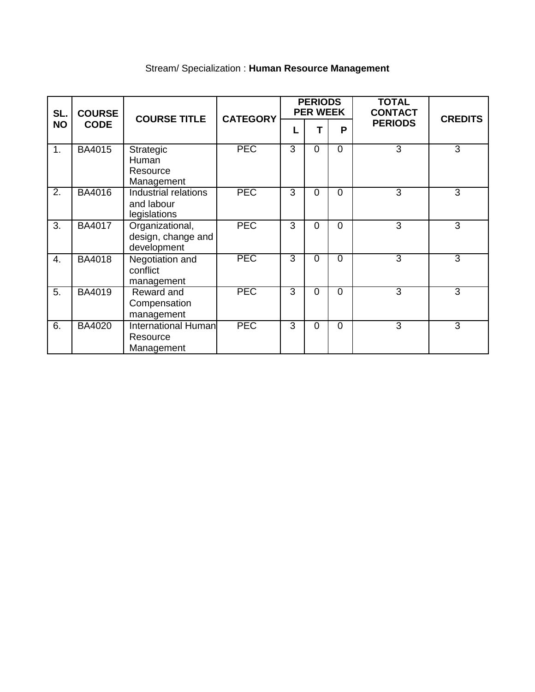| SL.<br><b>NO</b> | <b>COURSE</b><br><b>CODE</b> | <b>COURSE TITLE</b>                                  | <b>CATEGORY</b> | <b>PERIODS</b><br><b>PER WEEK</b> |          |          | <b>TOTAL</b><br><b>CONTACT</b> | <b>CREDITS</b> |
|------------------|------------------------------|------------------------------------------------------|-----------------|-----------------------------------|----------|----------|--------------------------------|----------------|
|                  |                              |                                                      |                 | L                                 | т        | P        | <b>PERIODS</b>                 |                |
| 1.               | <b>BA4015</b>                | Strategic<br>Human<br>Resource<br>Management         | <b>PEC</b>      | $\overline{3}$                    | $\Omega$ | $\Omega$ | $\overline{3}$                 | $\overline{3}$ |
| 2.               | BA4016                       | Industrial relations<br>and labour<br>legislations   | <b>PEC</b>      | 3                                 | $\Omega$ | $\Omega$ | 3                              | 3              |
| 3.               | <b>BA4017</b>                | Organizational,<br>design, change and<br>development | <b>PEC</b>      | 3                                 | $\Omega$ | $\Omega$ | 3                              | 3              |
| 4.               | <b>BA4018</b>                | Negotiation and<br>conflict<br>management            | <b>PEC</b>      | $\overline{3}$                    | $\Omega$ | $\Omega$ | $\overline{3}$                 | $\overline{3}$ |
| 5.               | <b>BA4019</b>                | Reward and<br>Compensation<br>management             | <b>PEC</b>      | $\overline{3}$                    | $\Omega$ | $\Omega$ | $\overline{3}$                 | 3              |
| 6.               | <b>BA4020</b>                | <b>International Human</b><br>Resource<br>Management | <b>PEC</b>      | 3                                 | $\Omega$ | $\Omega$ | 3                              | 3              |

# Stream/ Specialization : **Human Resource Management**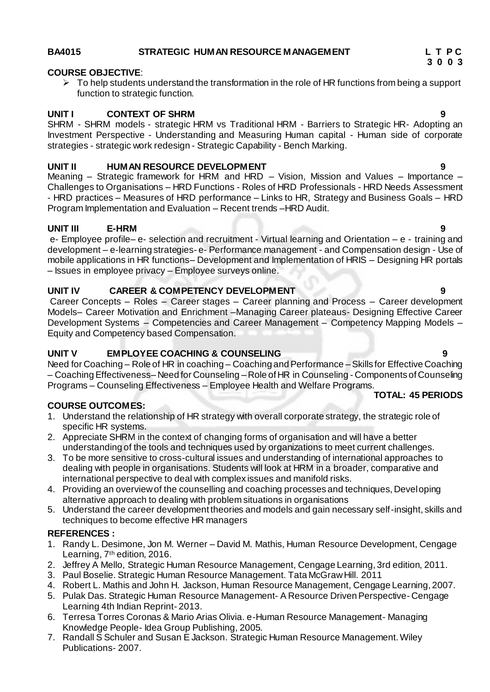#### **BA4015 STRATEGIC HUMAN RESOURCE MANAGEMENT L T P C**

#### **COURSE OBJECTIVE**:

 $\triangleright$  To help students understand the transformation in the role of HR functions from being a support function to strategic function.

#### **UNIT I CONTEXT OF SHRM**

SHRM - SHRM models - strategic HRM vs Traditional HRM - Barriers to Strategic HR- Adopting an Investment Perspective - Understanding and Measuring Human capital - Human side of corporate strategies - strategic work redesign - Strategic Capability - Bench Marking.

#### **UNIT II HUMAN RESOURCE DEVELOPMENT 9**

Meaning – Strategic framework for HRM and HRD – Vision, Mission and Values – Importance – Challenges to Organisations – HRD Functions - Roles of HRD Professionals - HRD Needs Assessment - HRD practices – Measures of HRD performance – Links to HR, Strategy and Business Goals – HRD Program Implementation and Evaluation – Recent trends –HRD Audit.

#### **UNIT III E-HRM 9**

e- Employee profile– e- selection and recruitment - Virtual learning and Orientation – e - training and development – e-learning strategies- e- Performance management - and Compensation design - Use of mobile applications in HR functions– Development and Implementation of HRIS – Designing HR portals – Issues in employee privacy – Employee surveys online.

### **UNIT IV CAREER & COMPETENCY DEVELOPMENT 9**

Career Concepts – Roles – Career stages – Career planning and Process – Career development Models– Career Motivation and Enrichment –Managing Career plateaus- Designing Effective Career Development Systems – Competencies and Career Management – Competency Mapping Models – Equity and Competency based Compensation.

### **UNIT V EMPLOYEE COACHING & COUNSELING 9**

Need for Coaching – Role of HR in coaching – Coaching and Performance – Skills for Effective Coaching – Coaching Effectiveness– Need for Counseling – Role of HR in Counseling - Components of Counseling Programs – Counseling Effectiveness – Employee Health and Welfare Programs.

# **TOTAL: 45 PERIODS**

### **COURSE OUTCOMES:**

- 1. Understand the relationship of HR strategy with overall corporate strategy, the strategic role of specific HR systems.
- 2. Appreciate SHRM in the context of changing forms of organisation and will have a better understanding of the tools and techniques used by organizations to meet current challenges.
- 3. To be more sensitive to cross-cultural issues and understanding of international approaches to dealing with people in organisations. Students will look at HRM in a broader, comparative and international perspective to deal with complex issues and manifold risks.
- 4. Providing an overview of the counselling and coaching processes and techniques, Developing alternative approach to dealing with problem situations in organisations
- 5. Understand the career development theories and models and gain necessary self-insight, skills and techniques to become effective HR managers

### **REFERENCES :**

- 1. Randy L. Desimone, Jon M. Werner David M. Mathis, Human Resource Development, Cengage Learning, 7<sup>th</sup> edition, 2016.
- 2. Jeffrey A Mello, Strategic Human Resource Management, Cengage Learning, 3rd edition, 2011.
- 3. Paul Boselie. Strategic Human Resource Management. Tata McGraw Hill. 2011
- 4. Robert L. Mathis and John H. Jackson, Human Resource Management, Cengage Learning, 2007.
- 5. Pulak Das. Strategic Human Resource Management- A Resource Driven Perspective- Cengage Learning 4th Indian Reprint- 2013.
- 6. Terresa Torres Coronas & Mario Arias Olivia. e-Human Resource Management- Managing Knowledge People- Idea Group Publishing, 2005.
- 7. Randall S Schuler and Susan E Jackson. Strategic Human Resource Management. Wiley Publications- 2007.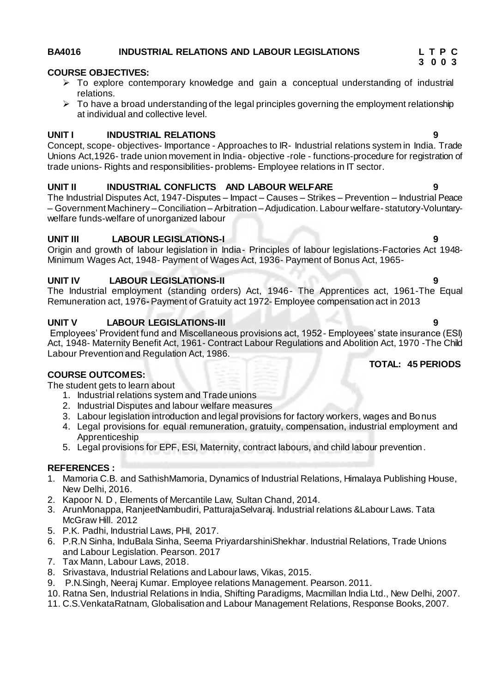# **BA4016 INDUSTRIAL RELATIONS AND LABOUR LEGISLATIONS L T P C**

# **COURSE OBJECTIVES:**

- $\triangleright$  To explore contemporary knowledge and gain a conceptual understanding of industrial relations.
- $\triangleright$  To have a broad understanding of the legal principles governing the employment relationship at individual and collective level.

### **UNIT I INDUSTRIAL RELATIONS 9**

Concept, scope- objectives- Importance - Approaches to IR- Industrial relations system in India. Trade Unions Act,1926- trade union movement in India- objective -role - functions-procedure for registration of trade unions- Rights and responsibilities- problems- Employee relations in IT sector.

#### **UNIT II INDUSTRIAL CONFLICTS AND LABOUR WELFARE 9**

The Industrial Disputes Act, 1947-Disputes – Impact – Causes – Strikes – Prevention – Industrial Peace – Government Machinery – Conciliation –Arbitration –Adjudication. Labour welfare- statutory-Voluntarywelfare funds-welfare of unorganized labour

### **UNIT III LABOUR LEGISLATIONS-I 9**

Origin and growth of labour legislation in India- Principles of labour legislations-Factories Act 1948- Minimum Wages Act, 1948- Payment of Wages Act, 1936- Payment of Bonus Act, 1965-

### **UNIT IV LABOUR LEGISLATIONS-II 9**

The Industrial employment (standing orders) Act, 1946- The Apprentices act, 1961-The Equal Remuneration act, 1976**-** Payment of Gratuity act 1972- Employee compensation act in 2013

### **UNIT V LABOUR LEGISLATIONS-III 9**

Employees' Provident fund and Miscellaneous provisions act, 1952- Employees' state insurance (ESI) Act, 1948- Maternity Benefit Act, 1961- Contract Labour Regulations and Abolition Act, 1970 -The Child Labour Prevention and Regulation Act, 1986.

#### **COURSE OUTCOMES:**

The student gets to learn about

- 1. Industrial relations system and Trade unions
- 2. Industrial Disputes and labour welfare measures
- 3. Labour legislation introduction and legal provisions for factory workers, wages and Bonus
- 4. Legal provisions for equal remuneration, gratuity, compensation, industrial employment and Apprenticeship
- 5. Legal provisions for EPF, ESI, Maternity, contract labours, and child labour prevention.

### **REFERENCES :**

- 1. Mamoria C.B. and SathishMamoria, Dynamics of Industrial Relations, Himalaya Publishing House, New Delhi, 2016.
- 2. Kapoor N. D , Elements of Mercantile Law, Sultan Chand, 2014.
- 3. ArunMonappa, RanjeetNambudiri, PatturajaSelvaraj. Industrial relations &Labour Laws. Tata McGraw Hill. 2012
- 5. P.K. Padhi, Industrial Laws, PHI, 2017.
- 6. P.R.N Sinha, InduBala Sinha, Seema PriyardarshiniShekhar. Industrial Relations, Trade Unions and Labour Legislation. Pearson. 2017
- 7. Tax Mann, Labour Laws, 2018.
- 8. Srivastava, Industrial Relations and Labour laws, Vikas, 2015.
- 9. P.N.Singh, Neeraj Kumar. Employee relations Management. Pearson. 2011.
- 10. Ratna Sen, Industrial Relations in India, Shifting Paradigms, Macmillan India Ltd., New Delhi, 2007.
- 11. C.S.VenkataRatnam, Globalisation and Labour Management Relations, Response Books, 2007.

### **TOTAL: 45 PERIODS**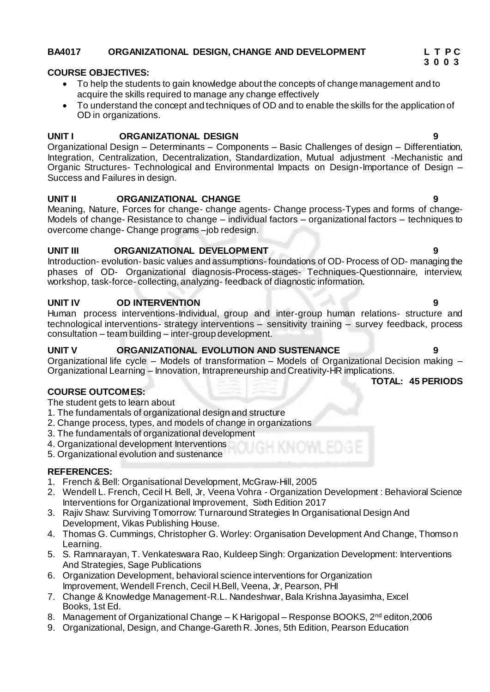### **BA4017 ORGANIZATIONAL DESIGN, CHANGE AND DEVELOPMENT L T P C**

### **COURSE OBJECTIVES:**

- To help the students to gain knowledge about the concepts of change management and to acquire the skills required to manage any change effectively
- To understand the concept and techniques of OD and to enable the skills for the application of OD in organizations.

#### **UNIT I ORGANIZATIONAL DESIGN 9**

Organizational Design – Determinants – Components – Basic Challenges of design – Differentiation, Integration, Centralization, Decentralization, Standardization, Mutual adjustment -Mechanistic and Organic Structures- Technological and Environmental Impacts on Design-Importance of Design – Success and Failures in design.

#### **UNIT II ORGANIZATIONAL CHANGE 9**

Meaning, Nature, Forces for change- change agents- Change process-Types and forms of change-Models of change- Resistance to change – individual factors – organizational factors – techniques to overcome change- Change programs –job redesign.

#### **UNIT III ORGANIZATIONAL DEVELOPMENT 9**

Introduction- evolution- basic values and assumptions-foundations of OD- Process of OD- managing the phases of OD- Organizational diagnosis-Process-stages- Techniques-Questionnaire, interview, workshop, task-force- collecting, analyzing- feedback of diagnostic information.

### **UNIT IV OD INTERVENTION 9**

Human process interventions-Individual, group and inter-group human relations- structure and technological interventions- strategy interventions – sensitivity training – survey feedback, process consultation – team building – inter-group development.

### **UNIT V ORGANIZATIONAL EVOLUTION AND SUSTENANCE 9**

Organizational life cycle – Models of transformation – Models of Organizational Decision making – Organizational Learning – Innovation, Intrapreneurship and Creativity-HR implications.

### **COURSE OUTCOMES:**

The student gets to learn about

- 1. The fundamentals of organizational design and structure
- 2. Change process, types, and models of change in organizations
- 3. The fundamentals of organizational development
- 4. Organizational development Interventions
- 5. Organizational evolution and sustenance

#### **REFERENCES:**

- 1. French & Bell: Organisational Development, McGraw-Hill, 2005
- 2. Wendell L. French, Cecil H. Bell, Jr, Veena Vohra Organization Development : Behavioral Science Interventions for Organizational Improvement, Sixth Edition 2017
- 3. Rajiv Shaw: Surviving Tomorrow: Turnaround Strategies In Organisational Design And Development, Vikas Publishing House.
- 4. Thomas G. Cummings, Christopher G. Worley: Organisation Development And Change, Thomson Learning.
- 5. S. Ramnarayan, T. Venkateswara Rao, Kuldeep Singh: Organization Development: Interventions And Strategies, Sage Publications
- 6. Organization Development, behavioral science interventions for Organization Improvement, Wendell French, Cecil H.Bell, Veena, Jr, Pearson, PHI
- 7. Change & Knowledge Management-R.L. Nandeshwar, Bala Krishna Jayasimha, Excel Books, 1st Ed.
- 8. Management of Organizational Change K Harigopal Response BOOKS, 2<sup>nd</sup> editon, 2006
- 9. Organizational, Design, and Change-Gareth R. Jones, 5th Edition, Pearson Education

**TOTAL: 45 PERIODS**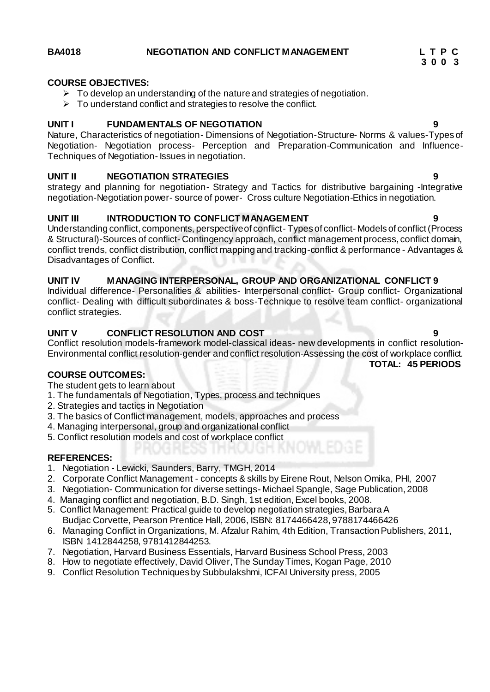#### **BA4018 NEGOTIATION AND CONFLICT MANAGEMENT L T P C**

#### **COURSE OBJECTIVES:**

- $\triangleright$  To develop an understanding of the nature and strategies of negotiation.
- $\triangleright$  To understand conflict and strategies to resolve the conflict.

#### **UNIT I FUNDAMENTALS OF NEGOTIATION 9**

Nature, Characteristics of negotiation- Dimensions of Negotiation-Structure- Norms & values-Types of Negotiation- Negotiation process- Perception and Preparation-Communication and Influence-Techniques of Negotiation- Issues in negotiation.

#### **UNIT II NEGOTIATION STRATEGIES 9**

strategy and planning for negotiation- Strategy and Tactics for distributive bargaining -Integrative negotiation-Negotiation power- source of power- Cross culture Negotiation-Ethics in negotiation.

#### **UNIT III INTRODUCTION TO CONFLICT MANAGEMENT**

Understanding conflict, components, perspective of conflict- Types of conflict- Models of conflict (Process & Structural)-Sources of conflict- Contingency approach, conflict management process, conflict domain, conflict trends, conflict distribution, conflict mapping and tracking-conflict & performance - Advantages & Disadvantages of Conflict.

#### **UNIT IV MANAGING INTERPERSONAL, GROUP AND ORGANIZATIONAL CONFLICT 9**

Individual difference- Personalities & abilities- Interpersonal conflict- Group conflict- Organizational conflict- Dealing with difficult subordinates & boss-Technique to resolve team conflict- organizational conflict strategies.

#### **UNIT V CONFLICT RESOLUTION AND COST 9**

Conflict resolution models-framework model-classical ideas- new developments in conflict resolution-Environmental conflict resolution-gender and conflict resolution-Assessing the cost of workplace conflict. **TOTAL: 45 PERIODS**

#### **COURSE OUTCOMES:**

The student gets to learn about

- 1. The fundamentals of Negotiation, Types, process and techniques
- 2. Strategies and tactics in Negotiation
- 3. The basics of Conflict management, models, approaches and process
- 4. Managing interpersonal, group and organizational conflict
- 5. Conflict resolution models and cost of workplace conflict

#### **REFERENCES:**

- 1. Negotiation Lewicki, Saunders, Barry, TMGH, 2014
- 2. Corporate Conflict Management concepts & skills by Eirene Rout, Nelson Omika, PHI, 2007
- 3. Negotiation- Communication for diverse settings- Michael Spangle, Sage Publication, 2008
- 4. Managing conflict and negotiation, B.D. Singh, 1st edition, Excel books, 2008.
- 5. Conflict Management: Practical guide to develop negotiation strategies, Barbara A Budjac Corvette, Pearson Prentice Hall, 2006, ISBN: 8174466428, 9788174466426
- 6. Managing Conflict in Organizations, M. Afzalur Rahim, 4th Edition, Transaction Publishers, 2011, ISBN 1412844258, 9781412844253.
- 7. Negotiation, Harvard Business Essentials, Harvard Business School Press, 2003
- 8. How to negotiate effectively, David Oliver, The Sunday Times, Kogan Page, 2010
- 9. Conflict Resolution Techniques by Subbulakshmi, ICFAI University press, 2005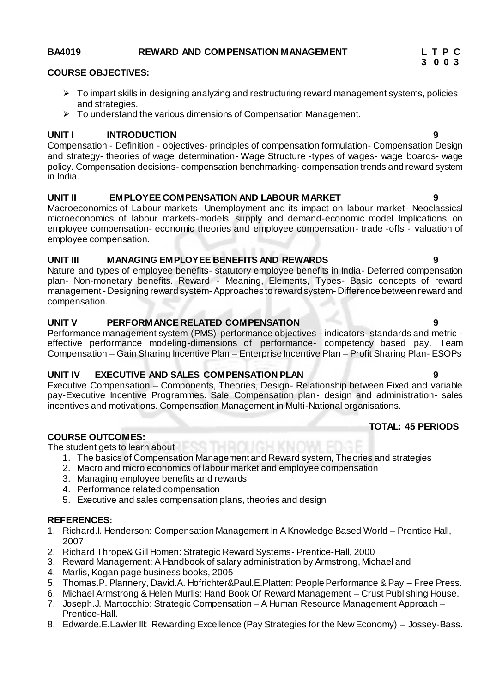### **COURSE OBJECTIVES:**

- $\triangleright$  To impart skills in designing analyzing and restructuring reward management systems, policies and strategies.
- $\triangleright$  To understand the various dimensions of Compensation Management.

### **UNIT I INTRODUCTION 9**

Compensation - Definition - objectives- principles of compensation formulation- Compensation Design and strategy- theories of wage determination- Wage Structure -types of wages- wage boards- wage policy. Compensation decisions- compensation benchmarking- compensation trends and reward system in India.

### **UNIT II EMPLOYEE COMPENSATION AND LABOUR MARKET 9**

Macroeconomics of Labour markets- Unemployment and its impact on labour market- Neoclassical microeconomics of labour markets-models, supply and demand-economic model Implications on employee compensation- economic theories and employee compensation- trade -offs - valuation of employee compensation.

### **UNIT III MANAGING EMPLOYEE BENEFITS AND REWARDS 9**

Nature and types of employee benefits- statutory employee benefits in India- Deferred compensation plan- Non-monetary benefits. Reward - Meaning, Elements, Types- Basic concepts of reward management - Designing reward system- Approaches to reward system- Difference between reward and compensation.

### **UNIT V PERFORMANCE RELATED COMPENSATION 9**

Performance management system (PMS)-performance objectives - indicators- standards and metric effective performance modeling-dimensions of performance- competency based pay. Team Compensation – Gain Sharing Incentive Plan – Enterprise Incentive Plan – Profit Sharing Plan- ESOPs

### **UNIT IV EXECUTIVE AND SALES COMPENSATION PLAN 9**

Executive Compensation – Components, Theories, Design- Relationship between Fixed and variable pay-Executive Incentive Programmes. Sale Compensation plan- design and administration- sales incentives and motivations. Compensation Management in Multi-National organisations.

### **COURSE OUTCOMES:**

The student gets to learn about

- 1. The basics of Compensation Management and Reward system, Theories and strategies
- 2. Macro and micro economics of labour market and employee compensation
- 3. Managing employee benefits and rewards
- 4. Performance related compensation
- 5. Executive and sales compensation plans, theories and design

### **REFERENCES:**

- 1. Richard.I. Henderson: Compensation Management In A Knowledge Based World Prentice Hall, 2007.
- 2. Richard Thrope& Gill Homen: Strategic Reward Systems- Prentice-Hall, 2000
- 3. Reward Management: A Handbook of salary administration by Armstrong, Michael and
- 4. Marlis, Kogan page business books, 2005
- 5. Thomas.P. Plannery, David.A. Hofrichter&Paul.E.Platten: People Performance & Pay Free Press.
- 6. Michael Armstrong & Helen Murlis: Hand Book Of Reward Management Crust Publishing House.
- 7. Joseph.J. Martocchio: Strategic Compensation A Human Resource Management Approach Prentice-Hall.
- 8. Edwarde.E.Lawler III: Rewarding Excellence (Pay Strategies for the New Economy) Jossey-Bass.

#### **BA4019 REWARD AND COMPENSATION MANAGEMENT L T P C**

# **3 0 0 3**

 **TOTAL: 45 PERIODS**